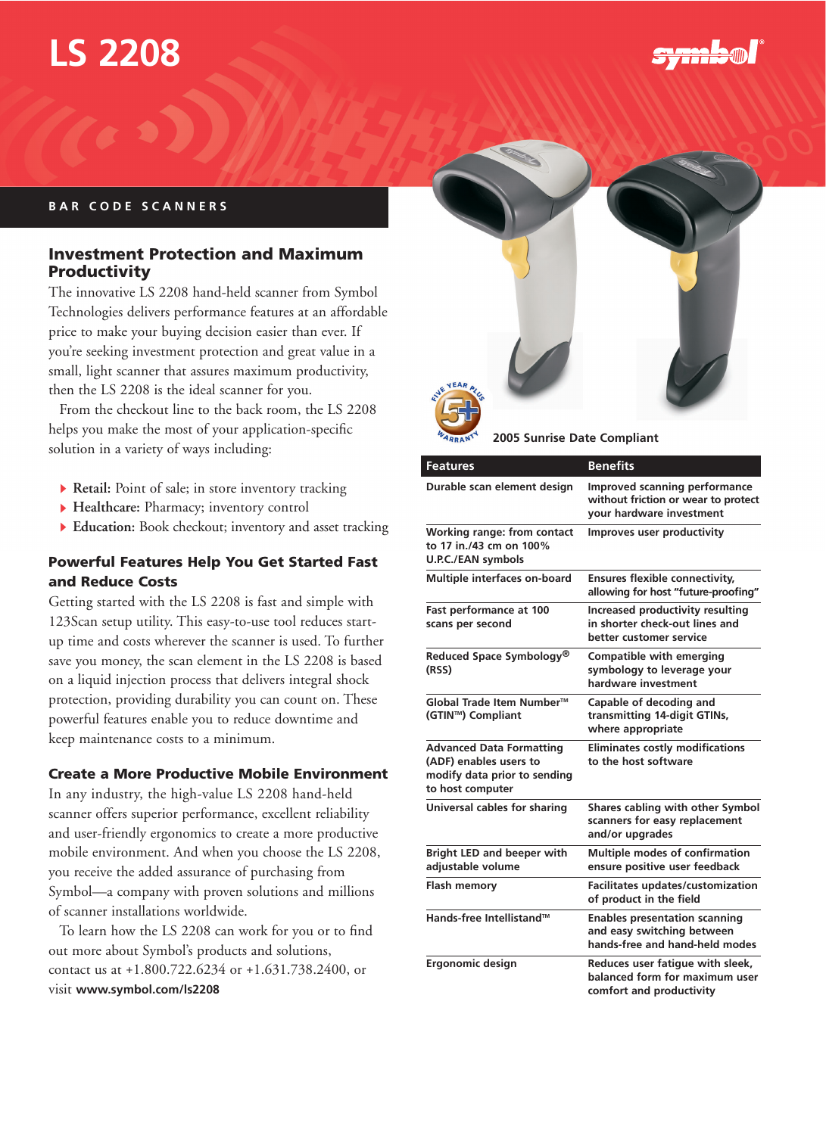# **LS 2208**

<del>SYNNA</del>O

# **BAR CODE SCANNERS**

# **Investment Protection and Maximum Productivity**

The innovative LS 2208 hand-held scanner from Symbol Technologies delivers performance features at an affordable price to make your buying decision easier than ever. If you're seeking investment protection and great value in a small, light scanner that assures maximum productivity, then the LS 2208 is the ideal scanner for you.

From the checkout line to the back room, the LS 2208 helps you make the most of your application-specific solution in a variety of ways including:

- **Retail:** Point of sale; in store inventory tracking
- **Healthcare:** Pharmacy; inventory control
- **Education:** Book checkout; inventory and asset tracking

## **Powerful Features Help You Get Started Fast and Reduce Costs**

Getting started with the LS 2208 is fast and simple with 123Scan setup utility. This easy-to-use tool reduces startup time and costs wherever the scanner is used. To further save you money, the scan element in the LS 2208 is based on a liquid injection process that delivers integral shock protection, providing durability you can count on. These powerful features enable you to reduce downtime and keep maintenance costs to a minimum.

# **Create a More Productive Mobile Environment**

In any industry, the high-value LS 2208 hand-held scanner offers superior performance, excellent reliability and user-friendly ergonomics to create a more productive mobile environment. And when you choose the LS 2208, you receive the added assurance of purchasing from Symbol—a company with proven solutions and millions of scanner installations worldwide.

To learn how the LS 2208 can work for you or to find out more about Symbol's products and solutions, contact us at +1.800.722.6234 or +1.631.738.2400, or visit **www.symbol.com/ls2208**



**2005 Sunrise Date Compliant**

| <b>Features</b>                                                                                               | <b>Benefits</b>                                                                                      |
|---------------------------------------------------------------------------------------------------------------|------------------------------------------------------------------------------------------------------|
| Durable scan element design                                                                                   | Improved scanning performance<br>without friction or wear to protect<br>your hardware investment     |
| <b>Working range: from contact</b><br>to 17 in./43 cm on 100%<br><b>U.P.C./EAN symbols</b>                    | Improves user productivity                                                                           |
| Multiple interfaces on-board                                                                                  | <b>Ensures flexible connectivity,</b><br>allowing for host "future-proofing"                         |
| Fast performance at 100<br>scans per second                                                                   | <b>Increased productivity resulting</b><br>in shorter check-out lines and<br>better customer service |
| Reduced Space Symbology®<br>(RSS)                                                                             | <b>Compatible with emerging</b><br>symbology to leverage your<br>hardware investment                 |
| Global Trade Item Number™<br>(GTIN™) Compliant                                                                | Capable of decoding and<br>transmitting 14-digit GTINs,<br>where appropriate                         |
| <b>Advanced Data Formatting</b><br>(ADF) enables users to<br>modify data prior to sending<br>to host computer | <b>Eliminates costly modifications</b><br>to the host software                                       |
| Universal cables for sharing                                                                                  | Shares cabling with other Symbol<br>scanners for easy replacement<br>and/or upgrades                 |
| <b>Bright LED and beeper with</b><br>adjustable volume                                                        | <b>Multiple modes of confirmation</b><br>ensure positive user feedback                               |
| <b>Flash memory</b>                                                                                           | Facilitates updates/customization<br>of product in the field                                         |
| Hands-free Intellistand™                                                                                      | <b>Enables presentation scanning</b><br>and easy switching between<br>hands-free and hand-held modes |
| Ergonomic design                                                                                              | Reduces user fatigue with sleek,<br>balanced form for maximum user<br>comfort and productivity       |